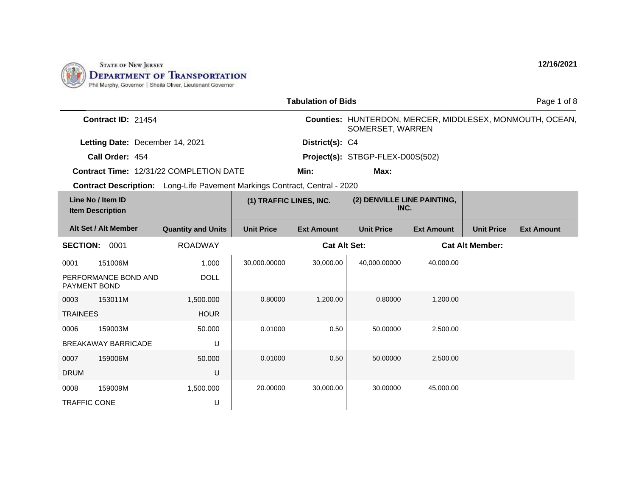

|                                              |                            |                                                                                   |                   | <b>Tabulation of Bids</b>           |                                  |                   |                        | Page 1 of 8                                              |
|----------------------------------------------|----------------------------|-----------------------------------------------------------------------------------|-------------------|-------------------------------------|----------------------------------|-------------------|------------------------|----------------------------------------------------------|
|                                              | Contract ID: 21454         |                                                                                   |                   |                                     | SOMERSET, WARREN                 |                   |                        | Counties: HUNTERDON, MERCER, MIDDLESEX, MONMOUTH, OCEAN, |
| Letting Date: December 14, 2021              |                            |                                                                                   |                   | District(s): C4                     |                                  |                   |                        |                                                          |
|                                              | Call Order: 454            |                                                                                   |                   |                                     | Project(s): STBGP-FLEX-D00S(502) |                   |                        |                                                          |
|                                              |                            | <b>Contract Time: 12/31/22 COMPLETION DATE</b>                                    |                   | Min:                                | Max:                             |                   |                        |                                                          |
|                                              |                            | <b>Contract Description:</b> Long-Life Pavement Markings Contract, Central - 2020 |                   |                                     |                                  |                   |                        |                                                          |
| Line No / Item ID<br><b>Item Description</b> |                            | (1) TRAFFIC LINES, INC.                                                           |                   | (2) DENVILLE LINE PAINTING,<br>INC. |                                  |                   |                        |                                                          |
|                                              | Alt Set / Alt Member       | <b>Quantity and Units</b>                                                         | <b>Unit Price</b> | <b>Ext Amount</b>                   | <b>Unit Price</b>                | <b>Ext Amount</b> | <b>Unit Price</b>      | <b>Ext Amount</b>                                        |
| <b>SECTION:</b>                              | 0001                       | <b>ROADWAY</b>                                                                    |                   | <b>Cat Alt Set:</b>                 |                                  |                   | <b>Cat Alt Member:</b> |                                                          |
| 0001                                         | 151006M                    | 1.000                                                                             | 30,000.00000      | 30,000.00                           | 40,000.00000                     | 40,000.00         |                        |                                                          |
| <b>PAYMENT BOND</b>                          | PERFORMANCE BOND AND       | <b>DOLL</b>                                                                       |                   |                                     |                                  |                   |                        |                                                          |
| 0003                                         | 153011M                    | 1,500.000                                                                         | 0.80000           | 1,200.00                            | 0.80000                          | 1,200.00          |                        |                                                          |
| <b>TRAINEES</b>                              |                            | <b>HOUR</b>                                                                       |                   |                                     |                                  |                   |                        |                                                          |
| 0006                                         | 159003M                    | 50.000                                                                            | 0.01000           | 0.50                                | 50.00000                         | 2,500.00          |                        |                                                          |
|                                              | <b>BREAKAWAY BARRICADE</b> | U                                                                                 |                   |                                     |                                  |                   |                        |                                                          |
| 0007                                         | 159006M                    | 50.000                                                                            | 0.01000           | 0.50                                | 50.00000                         | 2,500.00          |                        |                                                          |
| <b>DRUM</b>                                  |                            | U                                                                                 |                   |                                     |                                  |                   |                        |                                                          |
| 0008                                         | 159009M                    | 1,500.000                                                                         | 20.00000          | 30,000.00                           | 30.00000                         | 45,000.00         |                        |                                                          |
| <b>TRAFFIC CONE</b>                          |                            | U                                                                                 |                   |                                     |                                  |                   |                        |                                                          |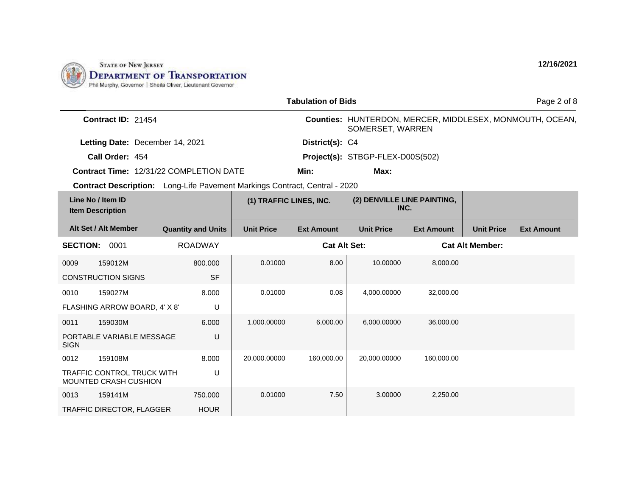

|                                                                            |                    |                           |                         | <b>Tabulation of Bids</b> |                                     |                   |                        | Page 2 of 8                                              |
|----------------------------------------------------------------------------|--------------------|---------------------------|-------------------------|---------------------------|-------------------------------------|-------------------|------------------------|----------------------------------------------------------|
|                                                                            | Contract ID: 21454 |                           |                         |                           |                                     | SOMERSET, WARREN  |                        | Counties: HUNTERDON, MERCER, MIDDLESEX, MONMOUTH, OCEAN, |
| Letting Date: December 14, 2021                                            |                    |                           |                         | District(s): C4           |                                     |                   |                        |                                                          |
| Call Order: 454                                                            |                    |                           |                         |                           | Project(s): STBGP-FLEX-D00S(502)    |                   |                        |                                                          |
| <b>Contract Time: 12/31/22 COMPLETION DATE</b>                             |                    |                           |                         | Min:                      | Max:                                |                   |                        |                                                          |
| Contract Description: Long-Life Pavement Markings Contract, Central - 2020 |                    |                           |                         |                           |                                     |                   |                        |                                                          |
| Line No / Item ID<br><b>Item Description</b>                               |                    |                           | (1) TRAFFIC LINES, INC. |                           | (2) DENVILLE LINE PAINTING,<br>INC. |                   |                        |                                                          |
| Alt Set / Alt Member                                                       |                    | <b>Quantity and Units</b> | <b>Unit Price</b>       | <b>Ext Amount</b>         | <b>Unit Price</b>                   | <b>Ext Amount</b> | <b>Unit Price</b>      | <b>Ext Amount</b>                                        |
| <b>SECTION: 0001</b>                                                       |                    | <b>ROADWAY</b>            |                         | <b>Cat Alt Set:</b>       |                                     |                   | <b>Cat Alt Member:</b> |                                                          |
| 159012M<br>0009                                                            |                    | 800.000                   | 0.01000                 | 8.00                      | 10.00000                            | 8,000.00          |                        |                                                          |
| <b>CONSTRUCTION SIGNS</b>                                                  |                    | <b>SF</b>                 |                         |                           |                                     |                   |                        |                                                          |
| 159027M<br>0010                                                            |                    | 8.000                     | 0.01000                 | 0.08                      | 4,000.00000                         | 32,000.00         |                        |                                                          |
| FLASHING ARROW BOARD, 4' X 8'                                              |                    | U                         |                         |                           |                                     |                   |                        |                                                          |
| 159030M<br>0011                                                            |                    | 6.000                     | 1,000.00000             | 6,000.00                  | 6,000.00000                         | 36,000.00         |                        |                                                          |
| PORTABLE VARIABLE MESSAGE<br><b>SIGN</b>                                   |                    | U                         |                         |                           |                                     |                   |                        |                                                          |
| 159108M<br>0012                                                            |                    | 8.000                     | 20,000.00000            | 160,000.00                | 20,000.00000                        | 160,000.00        |                        |                                                          |
| <b>TRAFFIC CONTROL TRUCK WITH</b><br>MOUNTED CRASH CUSHION                 |                    | U                         |                         |                           |                                     |                   |                        |                                                          |
| 159141M<br>0013                                                            |                    | 750.000                   | 0.01000                 | 7.50                      | 3.00000                             | 2,250.00          |                        |                                                          |
| TRAFFIC DIRECTOR, FLAGGER                                                  |                    | <b>HOUR</b>               |                         |                           |                                     |                   |                        |                                                          |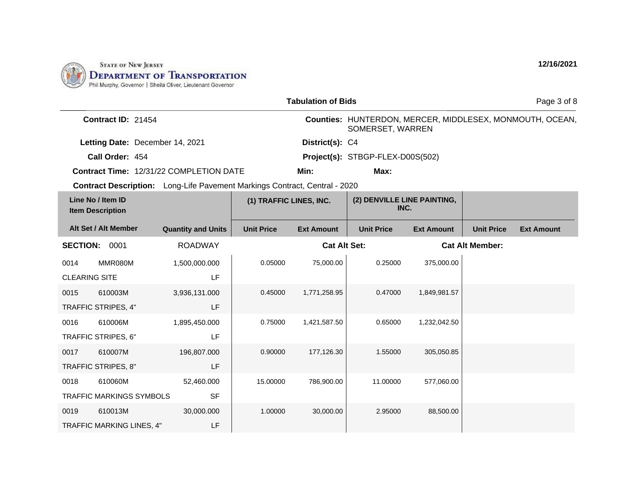

|                                                                                   | <b>Tabulation of Bids</b> |                         |                     |                                     |                   |                        |                                                          |  |
|-----------------------------------------------------------------------------------|---------------------------|-------------------------|---------------------|-------------------------------------|-------------------|------------------------|----------------------------------------------------------|--|
| Contract ID: 21454                                                                |                           |                         |                     | SOMERSET, WARREN                    |                   |                        | Counties: HUNTERDON, MERCER, MIDDLESEX, MONMOUTH, OCEAN, |  |
| Letting Date: December 14, 2021                                                   |                           | District(s): C4         |                     |                                     |                   |                        |                                                          |  |
| Call Order: 454                                                                   |                           |                         |                     | Project(s): STBGP-FLEX-D00S(502)    |                   |                        |                                                          |  |
| <b>Contract Time: 12/31/22 COMPLETION DATE</b>                                    |                           |                         | Min:                | Max:                                |                   |                        |                                                          |  |
| <b>Contract Description:</b> Long-Life Pavement Markings Contract, Central - 2020 |                           |                         |                     |                                     |                   |                        |                                                          |  |
| Line No / Item ID<br><b>Item Description</b>                                      |                           | (1) TRAFFIC LINES, INC. |                     | (2) DENVILLE LINE PAINTING,<br>INC. |                   |                        |                                                          |  |
| Alt Set / Alt Member                                                              | <b>Quantity and Units</b> | <b>Unit Price</b>       | <b>Ext Amount</b>   | <b>Unit Price</b>                   | <b>Ext Amount</b> | <b>Unit Price</b>      | <b>Ext Amount</b>                                        |  |
| <b>SECTION:</b><br>0001                                                           | <b>ROADWAY</b>            |                         | <b>Cat Alt Set:</b> |                                     |                   | <b>Cat Alt Member:</b> |                                                          |  |
| MMR080M<br>0014                                                                   | 1,500,000.000             | 0.05000                 | 75,000.00           | 0.25000                             | 375,000.00        |                        |                                                          |  |
| <b>CLEARING SITE</b>                                                              | LF                        |                         |                     |                                     |                   |                        |                                                          |  |
| 610003M<br>0015                                                                   | 3,936,131.000             | 0.45000                 | 1,771,258.95        | 0.47000                             | 1,849,981.57      |                        |                                                          |  |
| TRAFFIC STRIPES, 4"                                                               | <b>LF</b>                 |                         |                     |                                     |                   |                        |                                                          |  |
| 610006M<br>0016                                                                   | 1,895,450.000             | 0.75000                 | 1,421,587.50        | 0.65000                             | 1,232,042.50      |                        |                                                          |  |
| TRAFFIC STRIPES, 6"                                                               | LF                        |                         |                     |                                     |                   |                        |                                                          |  |
| 610007M<br>0017                                                                   | 196,807.000               | 0.90000                 | 177,126.30          | 1.55000                             | 305,050.85        |                        |                                                          |  |
| TRAFFIC STRIPES, 8"                                                               | <b>LF</b>                 |                         |                     |                                     |                   |                        |                                                          |  |
| 610060M<br>0018                                                                   | 52,460.000                | 15.00000                | 786,900.00          | 11.00000                            | 577,060.00        |                        |                                                          |  |
| <b>TRAFFIC MARKINGS SYMBOLS</b>                                                   | <b>SF</b>                 |                         |                     |                                     |                   |                        |                                                          |  |
| 0019<br>610013M                                                                   | 30,000.000                | 1.00000                 | 30,000.00           | 2.95000                             | 88,500.00         |                        |                                                          |  |
| TRAFFIC MARKING LINES, 4"                                                         | LF                        |                         |                     |                                     |                   |                        |                                                          |  |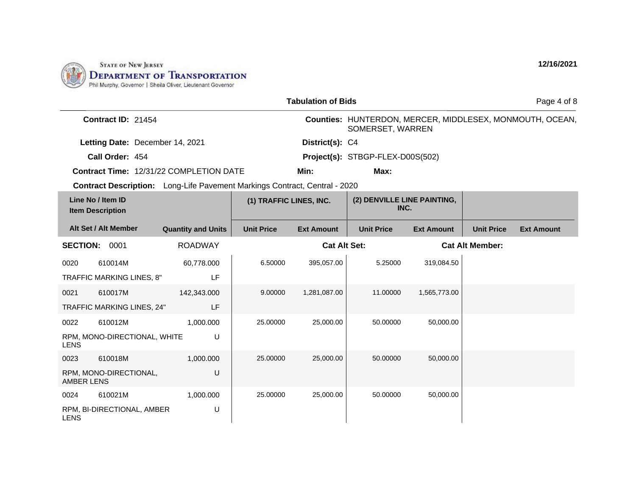

|                   |                                              |                                                                                   |                         | <b>Tabulation of Bids</b> |                                     |                   |                        | Page 4 of 8                                              |
|-------------------|----------------------------------------------|-----------------------------------------------------------------------------------|-------------------------|---------------------------|-------------------------------------|-------------------|------------------------|----------------------------------------------------------|
|                   | Contract ID: 21454                           |                                                                                   |                         |                           | SOMERSET, WARREN                    |                   |                        | Counties: HUNTERDON, MERCER, MIDDLESEX, MONMOUTH, OCEAN, |
|                   | Letting Date: December 14, 2021              |                                                                                   |                         | District(s): C4           |                                     |                   |                        |                                                          |
|                   | Call Order: 454                              |                                                                                   |                         |                           | Project(s): STBGP-FLEX-D00S(502)    |                   |                        |                                                          |
|                   |                                              | <b>Contract Time: 12/31/22 COMPLETION DATE</b>                                    |                         | Min:                      | Max:                                |                   |                        |                                                          |
|                   |                                              | <b>Contract Description:</b> Long-Life Pavement Markings Contract, Central - 2020 |                         |                           |                                     |                   |                        |                                                          |
|                   | Line No / Item ID<br><b>Item Description</b> |                                                                                   | (1) TRAFFIC LINES, INC. |                           | (2) DENVILLE LINE PAINTING,<br>INC. |                   |                        |                                                          |
|                   | Alt Set / Alt Member                         | <b>Quantity and Units</b>                                                         | <b>Unit Price</b>       | <b>Ext Amount</b>         | <b>Unit Price</b>                   | <b>Ext Amount</b> | <b>Unit Price</b>      | <b>Ext Amount</b>                                        |
| <b>SECTION:</b>   | 0001                                         | <b>ROADWAY</b>                                                                    |                         | <b>Cat Alt Set:</b>       |                                     |                   | <b>Cat Alt Member:</b> |                                                          |
| 0020              | 610014M                                      | 60,778.000                                                                        | 6.50000                 | 395,057.00                | 5.25000                             | 319,084.50        |                        |                                                          |
|                   | TRAFFIC MARKING LINES, 8"                    | LF                                                                                |                         |                           |                                     |                   |                        |                                                          |
| 0021              | 610017M                                      | 142,343.000                                                                       | 9.00000                 | 1,281,087.00              | 11.00000                            | 1,565,773.00      |                        |                                                          |
|                   | TRAFFIC MARKING LINES, 24"                   | LF                                                                                |                         |                           |                                     |                   |                        |                                                          |
| 0022              | 610012M                                      | 1,000.000                                                                         | 25,00000                | 25,000.00                 | 50.00000                            | 50,000.00         |                        |                                                          |
| <b>LENS</b>       | RPM, MONO-DIRECTIONAL, WHITE                 | U                                                                                 |                         |                           |                                     |                   |                        |                                                          |
| 0023              | 610018M                                      | 1,000.000                                                                         | 25,00000                | 25,000.00                 | 50.00000                            | 50,000.00         |                        |                                                          |
| <b>AMBER LENS</b> | RPM, MONO-DIRECTIONAL,                       | U                                                                                 |                         |                           |                                     |                   |                        |                                                          |
| 0024              | 610021M                                      | 1,000.000                                                                         | 25.00000                | 25,000.00                 | 50.00000                            | 50,000.00         |                        |                                                          |
| <b>LENS</b>       | RPM, BI-DIRECTIONAL, AMBER                   | U                                                                                 |                         |                           |                                     |                   |                        |                                                          |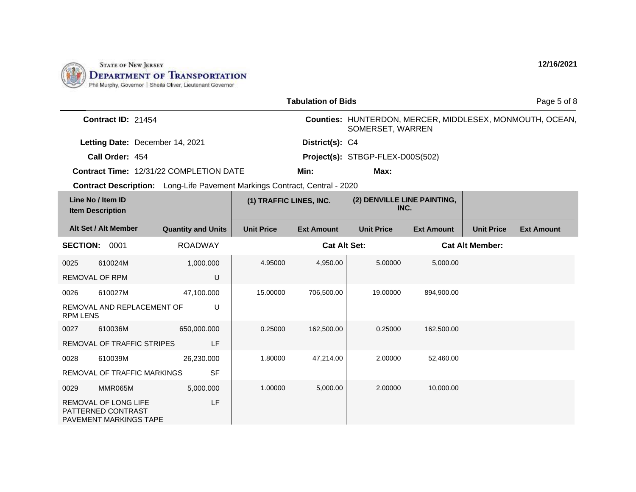

|                                              |                                                                                    |                                                                                   |                         | <b>Tabulation of Bids</b> |                                     |                   |                        | Page 5 of 8                                              |
|----------------------------------------------|------------------------------------------------------------------------------------|-----------------------------------------------------------------------------------|-------------------------|---------------------------|-------------------------------------|-------------------|------------------------|----------------------------------------------------------|
|                                              | Contract ID: 21454                                                                 |                                                                                   |                         |                           | SOMERSET, WARREN                    |                   |                        | Counties: HUNTERDON, MERCER, MIDDLESEX, MONMOUTH, OCEAN, |
|                                              | Letting Date: December 14, 2021                                                    |                                                                                   |                         | District(s): C4           |                                     |                   |                        |                                                          |
|                                              | Call Order: 454                                                                    |                                                                                   |                         |                           | Project(s): STBGP-FLEX-D00S(502)    |                   |                        |                                                          |
|                                              |                                                                                    | <b>Contract Time: 12/31/22 COMPLETION DATE</b>                                    |                         | Min:                      | Max:                                |                   |                        |                                                          |
|                                              |                                                                                    | <b>Contract Description:</b> Long-Life Pavement Markings Contract, Central - 2020 |                         |                           |                                     |                   |                        |                                                          |
| Line No / Item ID<br><b>Item Description</b> |                                                                                    |                                                                                   | (1) TRAFFIC LINES, INC. |                           | (2) DENVILLE LINE PAINTING,<br>INC. |                   |                        |                                                          |
|                                              | Alt Set / Alt Member                                                               | <b>Quantity and Units</b>                                                         | <b>Unit Price</b>       | <b>Ext Amount</b>         | <b>Unit Price</b>                   | <b>Ext Amount</b> | <b>Unit Price</b>      | <b>Ext Amount</b>                                        |
| <b>SECTION: 0001</b>                         |                                                                                    | <b>ROADWAY</b>                                                                    |                         | <b>Cat Alt Set:</b>       |                                     |                   | <b>Cat Alt Member:</b> |                                                          |
| 0025                                         | 610024M                                                                            | 1,000.000                                                                         | 4.95000                 | 4,950.00                  | 5.00000                             | 5,000.00          |                        |                                                          |
| <b>REMOVAL OF RPM</b>                        |                                                                                    | U                                                                                 |                         |                           |                                     |                   |                        |                                                          |
| 0026                                         | 610027M                                                                            | 47,100.000                                                                        | 15.00000                | 706,500.00                | 19.00000                            | 894,900.00        |                        |                                                          |
| <b>RPM LENS</b>                              | REMOVAL AND REPLACEMENT OF                                                         | U                                                                                 |                         |                           |                                     |                   |                        |                                                          |
| 0027                                         | 610036M                                                                            | 650,000.000                                                                       | 0.25000                 | 162,500.00                | 0.25000                             | 162,500.00        |                        |                                                          |
|                                              | REMOVAL OF TRAFFIC STRIPES                                                         | <b>LF</b>                                                                         |                         |                           |                                     |                   |                        |                                                          |
| 0028                                         | 610039M                                                                            | 26,230.000                                                                        | 1.80000                 | 47,214.00                 | 2.00000                             | 52,460.00         |                        |                                                          |
|                                              | REMOVAL OF TRAFFIC MARKINGS                                                        | <b>SF</b>                                                                         |                         |                           |                                     |                   |                        |                                                          |
| 0029                                         | MMR065M                                                                            | 5,000.000                                                                         | 1.00000                 | 5,000.00                  | 2.00000                             | 10,000.00         |                        |                                                          |
|                                              | <b>REMOVAL OF LONG LIFE</b><br>PATTERNED CONTRAST<br><b>PAVEMENT MARKINGS TAPE</b> | LF                                                                                |                         |                           |                                     |                   |                        |                                                          |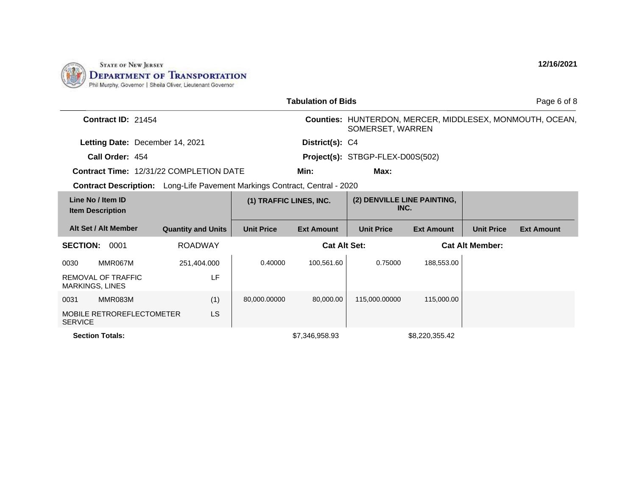

|                                                |                                                                                   |                           |                         | <b>Tabulation of Bids</b> |                                     |                   |                        | Page 6 of 8                                              |  |
|------------------------------------------------|-----------------------------------------------------------------------------------|---------------------------|-------------------------|---------------------------|-------------------------------------|-------------------|------------------------|----------------------------------------------------------|--|
|                                                | Contract ID: 21454                                                                |                           |                         |                           | SOMERSET, WARREN                    |                   |                        | Counties: HUNTERDON, MERCER, MIDDLESEX, MONMOUTH, OCEAN, |  |
|                                                | Letting Date: December 14, 2021                                                   |                           |                         |                           | District(s): C4                     |                   |                        |                                                          |  |
| Call Order: 454                                |                                                                                   |                           |                         |                           | Project(s): STBGP-FLEX-D00S(502)    |                   |                        |                                                          |  |
| <b>Contract Time: 12/31/22 COMPLETION DATE</b> |                                                                                   |                           |                         | Min:                      | Max:                                |                   |                        |                                                          |  |
|                                                | <b>Contract Description:</b> Long-Life Pavement Markings Contract, Central - 2020 |                           |                         |                           |                                     |                   |                        |                                                          |  |
| Line No / Item ID<br><b>Item Description</b>   |                                                                                   |                           | (1) TRAFFIC LINES, INC. |                           | (2) DENVILLE LINE PAINTING,<br>INC. |                   |                        |                                                          |  |
| Alt Set / Alt Member                           |                                                                                   | <b>Quantity and Units</b> | <b>Unit Price</b>       | <b>Ext Amount</b>         | <b>Unit Price</b>                   | <b>Ext Amount</b> | <b>Unit Price</b>      | <b>Ext Amount</b>                                        |  |
| <b>SECTION:</b><br>0001                        |                                                                                   | <b>ROADWAY</b>            |                         | <b>Cat Alt Set:</b>       |                                     |                   | <b>Cat Alt Member:</b> |                                                          |  |
| MMR067M<br>0030                                |                                                                                   | 251,404.000               | 0.40000                 | 100,561.60                | 0.75000                             | 188,553.00        |                        |                                                          |  |
| REMOVAL OF TRAFFIC<br><b>MARKINGS, LINES</b>   |                                                                                   | LF                        |                         |                           |                                     |                   |                        |                                                          |  |
| MMR083M<br>0031                                |                                                                                   | (1)                       | 80,000.00000            | 80.000.00                 | 115,000.00000                       | 115,000.00        |                        |                                                          |  |
| MOBILE RETROREFLECTOMETER<br><b>SERVICE</b>    |                                                                                   | LS                        |                         |                           |                                     |                   |                        |                                                          |  |
| <b>Section Totals:</b>                         |                                                                                   |                           |                         | \$7.346.958.93            |                                     | \$8,220,355.42    |                        |                                                          |  |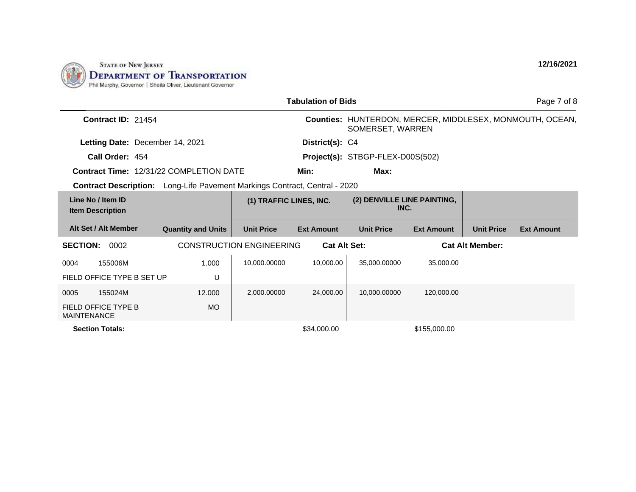

|                                              |                                                                                   |                                 | <b>Tabulation of Bids</b> |                                     |                   |                        | Page 7 of 8                                              |
|----------------------------------------------|-----------------------------------------------------------------------------------|---------------------------------|---------------------------|-------------------------------------|-------------------|------------------------|----------------------------------------------------------|
| Contract ID: 21454                           |                                                                                   |                                 |                           | SOMERSET, WARREN                    |                   |                        | Counties: HUNTERDON, MERCER, MIDDLESEX, MONMOUTH, OCEAN, |
| Letting Date: December 14, 2021              |                                                                                   |                                 | District(s): C4           |                                     |                   |                        |                                                          |
| Call Order: 454                              |                                                                                   |                                 |                           | Project(s): STBGP-FLEX-D00S(502)    |                   |                        |                                                          |
|                                              | <b>Contract Time: 12/31/22 COMPLETION DATE</b>                                    |                                 | Min:                      | Max:                                |                   |                        |                                                          |
|                                              | <b>Contract Description:</b> Long-Life Pavement Markings Contract, Central - 2020 |                                 |                           |                                     |                   |                        |                                                          |
| Line No / Item ID<br><b>Item Description</b> |                                                                                   | (1) TRAFFIC LINES, INC.         |                           | (2) DENVILLE LINE PAINTING,<br>INC. |                   |                        |                                                          |
| Alt Set / Alt Member                         | <b>Quantity and Units</b>                                                         | <b>Unit Price</b>               | <b>Ext Amount</b>         | <b>Unit Price</b>                   | <b>Ext Amount</b> | <b>Unit Price</b>      | <b>Ext Amount</b>                                        |
| <b>SECTION:</b><br>0002                      |                                                                                   | <b>CONSTRUCTION ENGINEERING</b> | <b>Cat Alt Set:</b>       |                                     |                   | <b>Cat Alt Member:</b> |                                                          |
| 0004<br>155006M                              | 1.000                                                                             | 10,000.00000                    | 10,000.00                 | 35,000.00000                        | 35,000.00         |                        |                                                          |
| FIELD OFFICE TYPE B SET UP                   | U                                                                                 |                                 |                           |                                     |                   |                        |                                                          |
| 155024M<br>0005                              | 12.000                                                                            | 2.000.00000                     | 24.000.00                 | 10,000.00000                        | 120.000.00        |                        |                                                          |
| FIELD OFFICE TYPE B<br><b>MAINTENANCE</b>    | MO.                                                                               |                                 |                           |                                     |                   |                        |                                                          |
| <b>Section Totals:</b>                       |                                                                                   |                                 | \$34,000.00               |                                     | \$155,000.00      |                        |                                                          |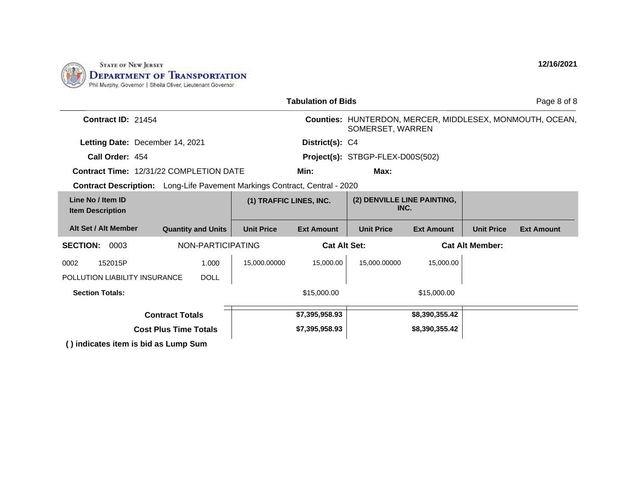

|                                                                                   |                                 |                                  | <b>Tabulation of Bids</b> |                                     |                        |                   | Page 8 of 8                                              |
|-----------------------------------------------------------------------------------|---------------------------------|----------------------------------|---------------------------|-------------------------------------|------------------------|-------------------|----------------------------------------------------------|
| Contract ID: 21454                                                                |                                 |                                  |                           | SOMERSET, WARREN                    |                        |                   | Counties: HUNTERDON, MERCER, MIDDLESEX, MONMOUTH, OCEAN, |
|                                                                                   | Letting Date: December 14, 2021 |                                  |                           |                                     |                        |                   |                                                          |
| Call Order: 454                                                                   |                                 | Project(s): STBGP-FLEX-D00S(502) |                           |                                     |                        |                   |                                                          |
| <b>Contract Time: 12/31/22 COMPLETION DATE</b>                                    |                                 | Min:                             | Max:                      |                                     |                        |                   |                                                          |
| <b>Contract Description:</b> Long-Life Pavement Markings Contract, Central - 2020 |                                 |                                  |                           |                                     |                        |                   |                                                          |
| Line No / Item ID<br><b>Item Description</b>                                      |                                 | (1) TRAFFIC LINES, INC.          |                           | (2) DENVILLE LINE PAINTING,<br>INC. |                        |                   |                                                          |
| Alt Set / Alt Member                                                              | <b>Quantity and Units</b>       | <b>Unit Price</b>                | <b>Ext Amount</b>         | <b>Unit Price</b>                   | <b>Ext Amount</b>      | <b>Unit Price</b> | <b>Ext Amount</b>                                        |
| <b>SECTION:</b><br>0003                                                           | NON-PARTICIPATING               |                                  | <b>Cat Alt Set:</b>       |                                     | <b>Cat Alt Member:</b> |                   |                                                          |
| 0002<br>152015P                                                                   | 1.000                           | 15,000.00000                     | 15,000.00                 | 15,000.00000                        | 15,000.00              |                   |                                                          |
| POLLUTION LIABILITY INSURANCE                                                     | <b>DOLL</b>                     |                                  |                           |                                     |                        |                   |                                                          |
| <b>Section Totals:</b>                                                            |                                 |                                  | \$15,000.00               |                                     | \$15,000.00            |                   |                                                          |
|                                                                                   | <b>Contract Totals</b>          |                                  | \$7,395,958.93            |                                     | \$8,390,355.42         |                   |                                                          |
|                                                                                   | <b>Cost Plus Time Totals</b>    |                                  | \$7,395,958.93            |                                     | \$8,390,355.42         |                   |                                                          |
| $\bigwedge$ indicator item is hid as Lump Sum                                     |                                 |                                  |                           |                                     |                        |                   |                                                          |

**( ) indicates item is bid as Lump Sum**